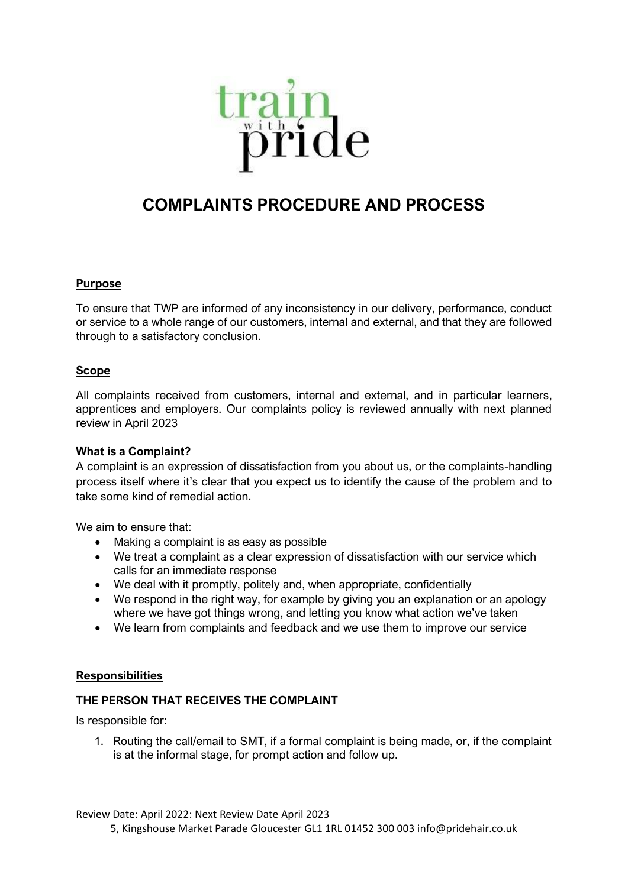

# **COMPLAINTS PROCEDURE AND PROCESS**

#### **Purpose**

To ensure that TWP are informed of any inconsistency in our delivery, performance, conduct or service to a whole range of our customers, internal and external, and that they are followed through to a satisfactory conclusion.

#### **Scope**

All complaints received from customers, internal and external, and in particular learners, apprentices and employers. Our complaints policy is reviewed annually with next planned review in April 2023

#### **What is a Complaint?**

A complaint is an expression of dissatisfaction from you about us, or the complaints-handling process itself where it's clear that you expect us to identify the cause of the problem and to take some kind of remedial action.

We aim to ensure that:

- Making a complaint is as easy as possible
- We treat a complaint as a clear expression of dissatisfaction with our service which calls for an immediate response
- We deal with it promptly, politely and, when appropriate, confidentially
- We respond in the right way, for example by giving you an explanation or an apology where we have got things wrong, and letting you know what action we've taken
- We learn from complaints and feedback and we use them to improve our service

#### **Responsibilities**

#### **THE PERSON THAT RECEIVES THE COMPLAINT**

Is responsible for:

1. Routing the call/email to SMT, if a formal complaint is being made, or, if the complaint is at the informal stage, for prompt action and follow up.

Review Date: April 2022: Next Review Date April 2023

5, Kingshouse Market Parade Gloucester GL1 1RL 01452 300 003 info@pridehair.co.uk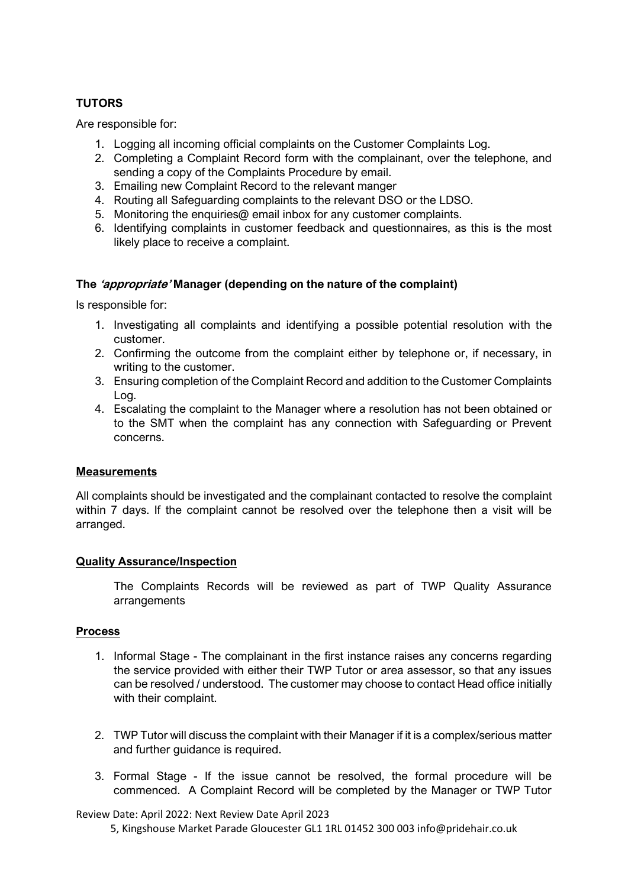### **TUTORS**

Are responsible for:

- 1. Logging all incoming official complaints on the Customer Complaints Log.
- 2. Completing a Complaint Record form with the complainant, over the telephone, and sending a copy of the Complaints Procedure by email.
- 3. Emailing new Complaint Record to the relevant manger
- 4. Routing all Safeguarding complaints to the relevant DSO or the LDSO.
- 5. Monitoring the enquiries@ email inbox for any customer complaints.
- 6. Identifying complaints in customer feedback and questionnaires, as this is the most likely place to receive a complaint.

#### **The 'appropriate' Manager (depending on the nature of the complaint)**

Is responsible for:

- 1. Investigating all complaints and identifying a possible potential resolution with the customer.
- 2. Confirming the outcome from the complaint either by telephone or, if necessary, in writing to the customer.
- 3. Ensuring completion of the Complaint Record and addition to the Customer Complaints Log.
- 4. Escalating the complaint to the Manager where a resolution has not been obtained or to the SMT when the complaint has any connection with Safeguarding or Prevent concerns.

#### **Measurements**

All complaints should be investigated and the complainant contacted to resolve the complaint within 7 days. If the complaint cannot be resolved over the telephone then a visit will be arranged.

#### **Quality Assurance/Inspection**

The Complaints Records will be reviewed as part of TWP Quality Assurance arrangements

#### **Process**

- 1. Informal Stage The complainant in the first instance raises any concerns regarding the service provided with either their TWP Tutor or area assessor, so that any issues can be resolved / understood. The customer may choose to contact Head office initially with their complaint.
- 2. TWP Tutor will discuss the complaint with their Manager if it is a complex/serious matter and further guidance is required.
- 3. Formal Stage If the issue cannot be resolved, the formal procedure will be commenced. A Complaint Record will be completed by the Manager or TWP Tutor

#### Review Date: April 2022: Next Review Date April 2023

5, Kingshouse Market Parade Gloucester GL1 1RL 01452 300 003 info@pridehair.co.uk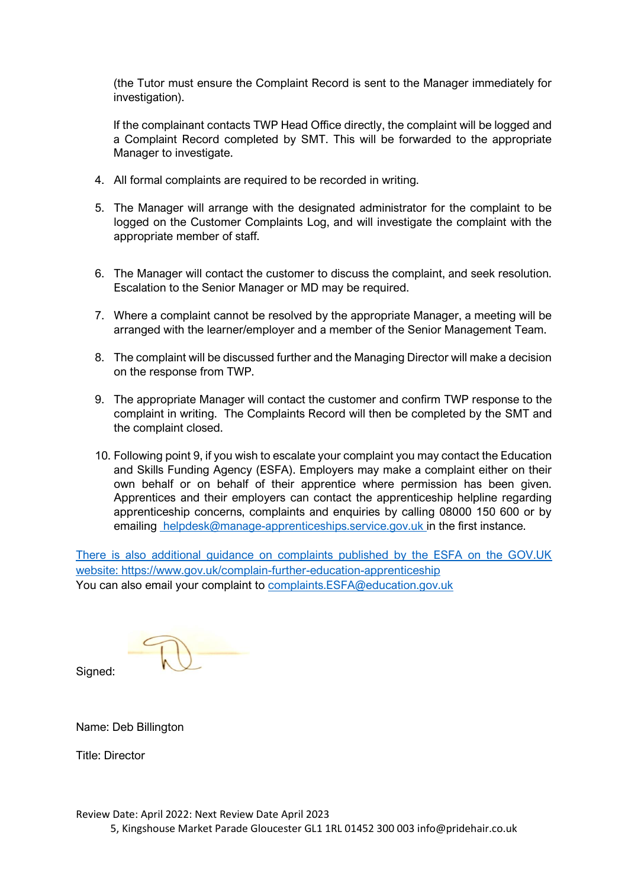(the Tutor must ensure the Complaint Record is sent to the Manager immediately for investigation).

If the complainant contacts TWP Head Office directly, the complaint will be logged and a Complaint Record completed by SMT. This will be forwarded to the appropriate Manager to investigate.

- 4. All formal complaints are required to be recorded in writing.
- 5. The Manager will arrange with the designated administrator for the complaint to be logged on the Customer Complaints Log, and will investigate the complaint with the appropriate member of staff.
- 6. The Manager will contact the customer to discuss the complaint, and seek resolution. Escalation to the Senior Manager or MD may be required.
- 7. Where a complaint cannot be resolved by the appropriate Manager, a meeting will be arranged with the learner/employer and a member of the Senior Management Team.
- 8. The complaint will be discussed further and the Managing Director will make a decision on the response from TWP.
- 9. The appropriate Manager will contact the customer and confirm TWP response to the complaint in writing. The Complaints Record will then be completed by the SMT and the complaint closed.
- 10. Following point 9, if you wish to escalate your complaint you may contact the Education and Skills Funding Agency (ESFA). Employers may make a complaint either on their own behalf or on behalf of their apprentice where permission has been given. Apprentices and their employers can contact the apprenticeship helpline regarding apprenticeship concerns, complaints and enquiries by calling 08000 150 600 or by emailing [helpdesk@manage-apprenticeships.service.gov.uk i](mailto:nationalhelpdesk@apprenticeships.gov.uk)n the first instance.

[There is also additional guidance on complaints published by the ESFA on the GOV.UK](https://www.gov.uk/government/publications/complaints-about-post-16-education-and-training-provision-funded-by-esfa)  [website: https://www.gov.uk/complain-further-education-apprenticeship](https://www.gov.uk/government/publications/complaints-about-post-16-education-and-training-provision-funded-by-esfa)  You can also email your complaint to [complaints.ESFA@education.gov.uk](mailto:complaints.ESFA@education.gov.uk)

Signed:

Name: Deb Billington

Title: Director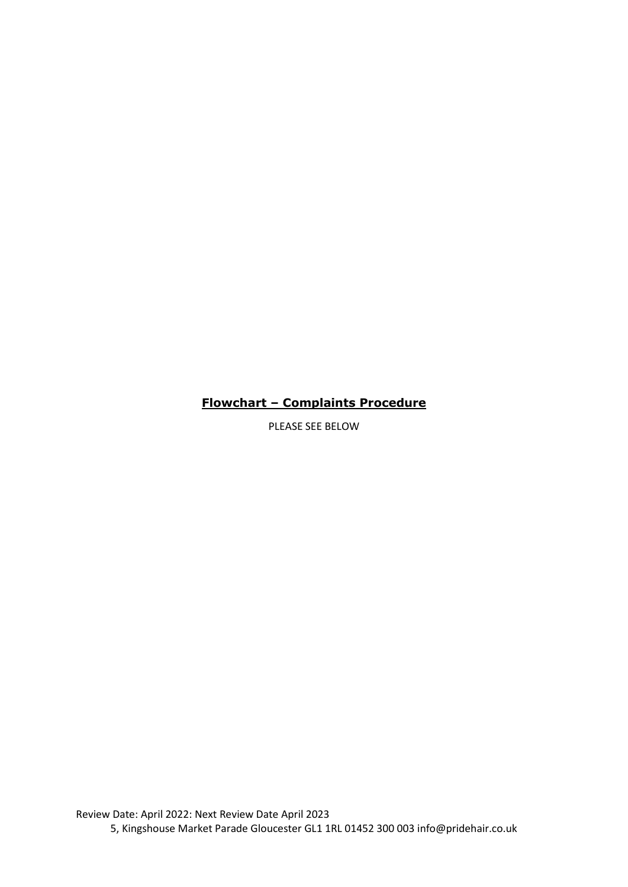## **Flowchart – Complaints Procedure**

PLEASE SEE BELOW

Review Date: April 2022: Next Review Date April 2023 5, Kingshouse Market Parade Gloucester GL1 1RL 01452 300 003 info@pridehair.co.uk